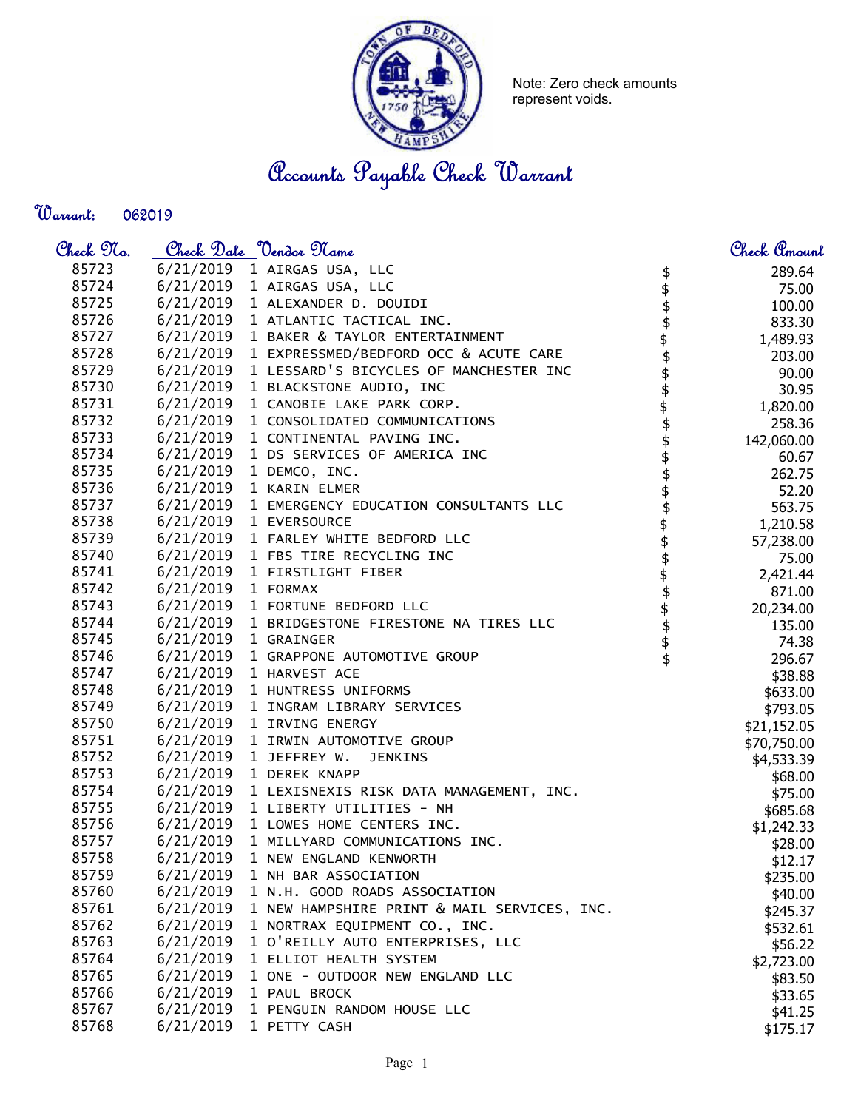

Note: Zero check amounts represent voids.

Accounts Payable Check Warrant

Warrant: 

| <u>Check 97a.</u> |           | Check Date <u>Vendor Name</u>                   |                                                | Check Amount |
|-------------------|-----------|-------------------------------------------------|------------------------------------------------|--------------|
| 85723             |           | 6/21/2019 1 AIRGAS USA, LLC                     | \$                                             | 289.64       |
| 85724             | 6/21/2019 | 1 AIRGAS USA, LLC                               | \$                                             | 75.00        |
| 85725             | 6/21/2019 | 1 ALEXANDER D. DOUIDI                           |                                                | 100.00       |
| 85726             | 6/21/2019 | 1 ATLANTIC TACTICAL INC.                        |                                                | 833.30       |
| 85727             | 6/21/2019 | 1 BAKER & TAYLOR ENTERTAINMENT                  |                                                | 1,489.93     |
| 85728             | 6/21/2019 | 1 EXPRESSMED/BEDFORD OCC & ACUTE CARE           |                                                | 203.00       |
| 85729             | 6/21/2019 | 1 LESSARD'S BICYCLES OF MANCHESTER INC          |                                                | 90.00        |
| 85730             | 6/21/2019 | 1 BLACKSTONE AUDIO, INC                         |                                                | 30.95        |
| 85731             | 6/21/2019 | 1 CANOBIE LAKE PARK CORP.                       |                                                | 1,820.00     |
| 85732             | 6/21/2019 | 1 CONSOLIDATED COMMUNICATIONS                   |                                                | 258.36       |
| 85733             | 6/21/2019 | 1 CONTINENTAL PAVING INC.                       |                                                | 142,060.00   |
| 85734             | 6/21/2019 | 1 DS SERVICES OF AMERICA INC                    |                                                | 60.67        |
| 85735             | 6/21/2019 | 1 DEMCO, INC.                                   |                                                | 262.75       |
| 85736             | 6/21/2019 | 1 KARIN ELMER                                   |                                                | 52.20        |
| 85737             |           | 6/21/2019 1 EMERGENCY EDUCATION CONSULTANTS LLC |                                                | 563.75       |
| 85738             |           | 6/21/2019 1 EVERSOURCE                          |                                                | 1,210.58     |
| 85739             |           | 6/21/2019 1 FARLEY WHITE BEDFORD LLC            |                                                | 57,238.00    |
| 85740             |           | 6/21/2019 1 FBS TIRE RECYCLING INC              |                                                | 75.00        |
| 85741             | 6/21/2019 | 1 FIRSTLIGHT FIBER                              |                                                | 2,421.44     |
| 85742             | 6/21/2019 | 1 FORMAX                                        |                                                | 871.00       |
| 85743             | 6/21/2019 | 1 FORTUNE BEDFORD LLC                           |                                                | 20,234.00    |
| 85744             | 6/21/2019 | 1 BRIDGESTONE FIRESTONE NA TIRES LLC            | \$\$\$\$\$\$\$\$\$\$\$\$\$\$\$\$\$\$\$\$\$\$\$ | 135.00       |
| 85745             | 6/21/2019 | 1 GRAINGER                                      |                                                | 74.38        |
| 85746             | 6/21/2019 | 1 GRAPPONE AUTOMOTIVE GROUP                     |                                                | 296.67       |
| 85747             | 6/21/2019 | 1 HARVEST ACE                                   |                                                | \$38.88      |
| 85748             | 6/21/2019 | 1 HUNTRESS UNIFORMS                             |                                                | \$633.00     |
| 85749             | 6/21/2019 | 1 INGRAM LIBRARY SERVICES                       |                                                | \$793.05     |
| 85750             |           | 6/21/2019 1 IRVING ENERGY                       |                                                | \$21,152.05  |
| 85751             |           | 6/21/2019 1 IRWIN AUTOMOTIVE GROUP              |                                                | \$70,750.00  |
| 85752             | 6/21/2019 | 1 JEFFREY W.<br><b>JENKINS</b>                  |                                                | \$4,533.39   |
| 85753             |           | 6/21/2019 1 DEREK KNAPP                         |                                                | \$68.00      |
| 85754             | 6/21/2019 | 1 LEXISNEXIS RISK DATA MANAGEMENT, INC.         |                                                | \$75.00      |
| 85755             | 6/21/2019 | 1 LIBERTY UTILITIES - NH                        |                                                | \$685.68     |
| 85756             | 6/21/2019 | 1 LOWES HOME CENTERS INC.                       |                                                | \$1,242.33   |
| 85757             | 6/21/2019 | 1 MILLYARD COMMUNICATIONS INC.                  |                                                | \$28.00      |
| 85758             | 6/21/2019 | 1 NEW ENGLAND KENWORTH                          |                                                | \$12.17      |
| 85759             | 6/21/2019 | 1 NH BAR ASSOCIATION                            |                                                | \$235.00     |
| 85760             | 6/21/2019 | 1 N.H. GOOD ROADS ASSOCIATION                   |                                                | \$40.00      |
| 85761             | 6/21/2019 | 1 NEW HAMPSHIRE PRINT & MAIL SERVICES, INC.     |                                                | \$245.37     |
| 85762             | 6/21/2019 | 1 NORTRAX EQUIPMENT CO., INC.                   |                                                | \$532.61     |
| 85763             | 6/21/2019 | 1 O'REILLY AUTO ENTERPRISES, LLC                |                                                | \$56.22      |
| 85764             | 6/21/2019 | 1 ELLIOT HEALTH SYSTEM                          |                                                | \$2,723.00   |
| 85765             | 6/21/2019 | 1 ONE - OUTDOOR NEW ENGLAND LLC                 |                                                | \$83.50      |
| 85766             | 6/21/2019 | 1 PAUL BROCK                                    |                                                | \$33.65      |
| 85767             | 6/21/2019 | 1 PENGUIN RANDOM HOUSE LLC                      |                                                | \$41.25      |
| 85768             | 6/21/2019 | 1 PETTY CASH                                    |                                                | \$175.17     |